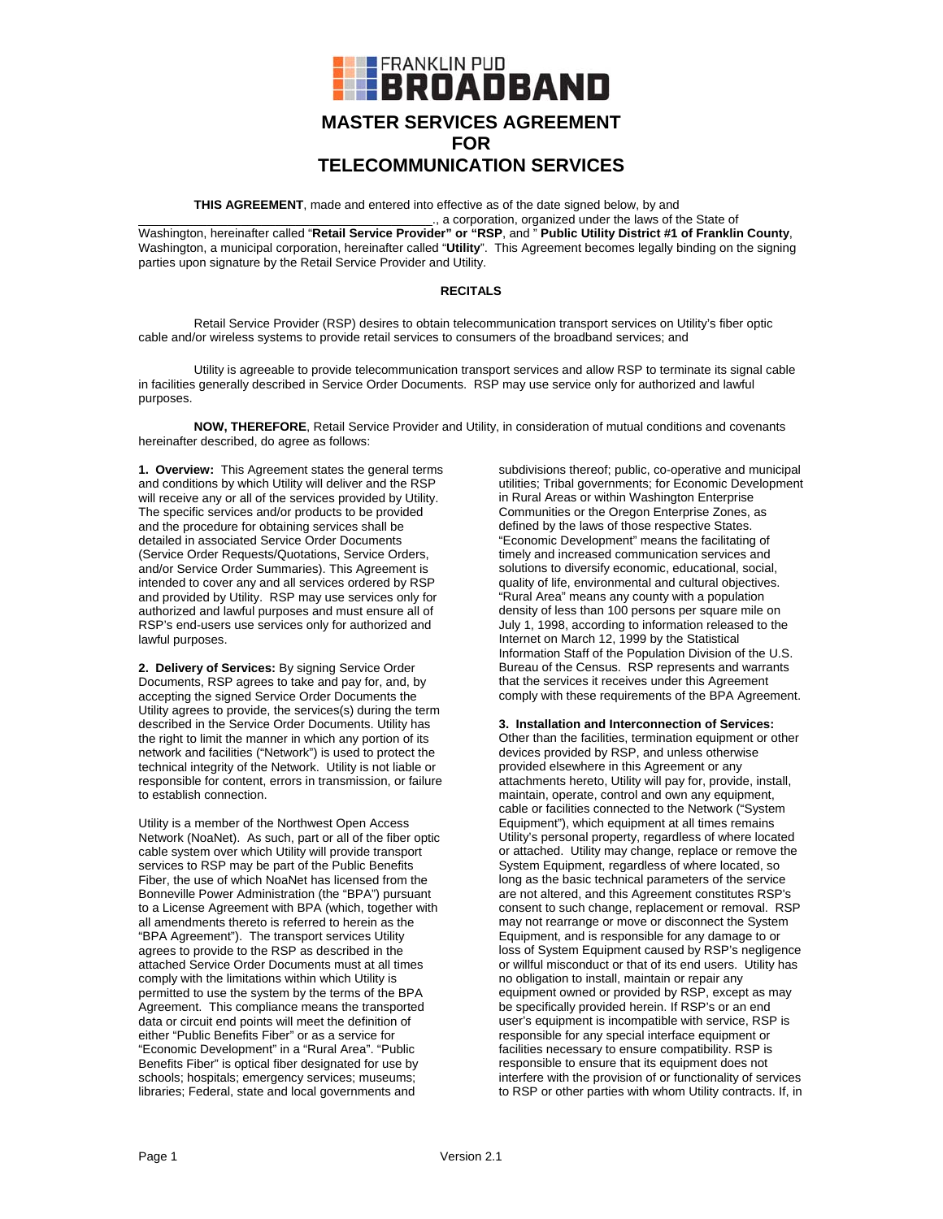

# **MASTER SERVICES AGREEMENT FOR TELECOMMUNICATION SERVICES**

**THIS AGREEMENT**, made and entered into effective as of the date signed below, by and

\_\_\_\_\_\_\_\_\_\_\_\_\_\_\_\_\_\_\_\_\_\_\_\_\_\_\_\_\_\_\_\_\_\_\_\_\_\_\_\_\_\_\_., a corporation, organized under the laws of the State of Washington, hereinafter called "**Retail Service Provider" or "RSP**, and " **Public Utility District #1 of Franklin County**, Washington, a municipal corporation, hereinafter called "**Utility**". This Agreement becomes legally binding on the signing parties upon signature by the Retail Service Provider and Utility.

## **RECITALS**

Retail Service Provider (RSP) desires to obtain telecommunication transport services on Utility's fiber optic cable and/or wireless systems to provide retail services to consumers of the broadband services; and

Utility is agreeable to provide telecommunication transport services and allow RSP to terminate its signal cable in facilities generally described in Service Order Documents. RSP may use service only for authorized and lawful purposes.

**NOW, THEREFORE**, Retail Service Provider and Utility, in consideration of mutual conditions and covenants hereinafter described, do agree as follows:

**1. Overview:** This Agreement states the general terms and conditions by which Utility will deliver and the RSP will receive any or all of the services provided by Utility. The specific services and/or products to be provided and the procedure for obtaining services shall be detailed in associated Service Order Documents (Service Order Requests/Quotations, Service Orders, and/or Service Order Summaries). This Agreement is intended to cover any and all services ordered by RSP and provided by Utility. RSP may use services only for authorized and lawful purposes and must ensure all of RSP's end-users use services only for authorized and lawful purposes.

**2. Delivery of Services:** By signing Service Order Documents, RSP agrees to take and pay for, and, by accepting the signed Service Order Documents the Utility agrees to provide, the services(s) during the term described in the Service Order Documents. Utility has the right to limit the manner in which any portion of its network and facilities ("Network") is used to protect the technical integrity of the Network. Utility is not liable or responsible for content, errors in transmission, or failure to establish connection.

Utility is a member of the Northwest Open Access Network (NoaNet). As such, part or all of the fiber optic cable system over which Utility will provide transport services to RSP may be part of the Public Benefits Fiber, the use of which NoaNet has licensed from the Bonneville Power Administration (the "BPA") pursuant to a License Agreement with BPA (which, together with all amendments thereto is referred to herein as the "BPA Agreement"). The transport services Utility agrees to provide to the RSP as described in the attached Service Order Documents must at all times comply with the limitations within which Utility is permitted to use the system by the terms of the BPA Agreement. This compliance means the transported data or circuit end points will meet the definition of either "Public Benefits Fiber" or as a service for "Economic Development" in a "Rural Area". "Public Benefits Fiber" is optical fiber designated for use by schools; hospitals; emergency services; museums; libraries; Federal, state and local governments and

subdivisions thereof; public, co-operative and municipal utilities; Tribal governments; for Economic Development in Rural Areas or within Washington Enterprise Communities or the Oregon Enterprise Zones, as defined by the laws of those respective States. "Economic Development" means the facilitating of timely and increased communication services and solutions to diversify economic, educational, social, quality of life, environmental and cultural objectives. "Rural Area" means any county with a population density of less than 100 persons per square mile on July 1, 1998, according to information released to the Internet on March 12, 1999 by the Statistical Information Staff of the Population Division of the U.S. Bureau of the Census. RSP represents and warrants that the services it receives under this Agreement comply with these requirements of the BPA Agreement.

**3. Installation and Interconnection of Services:**  Other than the facilities, termination equipment or other devices provided by RSP, and unless otherwise provided elsewhere in this Agreement or any attachments hereto, Utility will pay for, provide, install, maintain, operate, control and own any equipment, cable or facilities connected to the Network ("System Equipment"), which equipment at all times remains Utility's personal property, regardless of where located or attached. Utility may change, replace or remove the System Equipment, regardless of where located, so long as the basic technical parameters of the service are not altered, and this Agreement constitutes RSP's consent to such change, replacement or removal. RSP may not rearrange or move or disconnect the System Equipment, and is responsible for any damage to or loss of System Equipment caused by RSP's negligence or willful misconduct or that of its end users. Utility has no obligation to install, maintain or repair any equipment owned or provided by RSP, except as may be specifically provided herein. If RSP's or an end user's equipment is incompatible with service, RSP is responsible for any special interface equipment or facilities necessary to ensure compatibility. RSP is responsible to ensure that its equipment does not interfere with the provision of or functionality of services to RSP or other parties with whom Utility contracts. If, in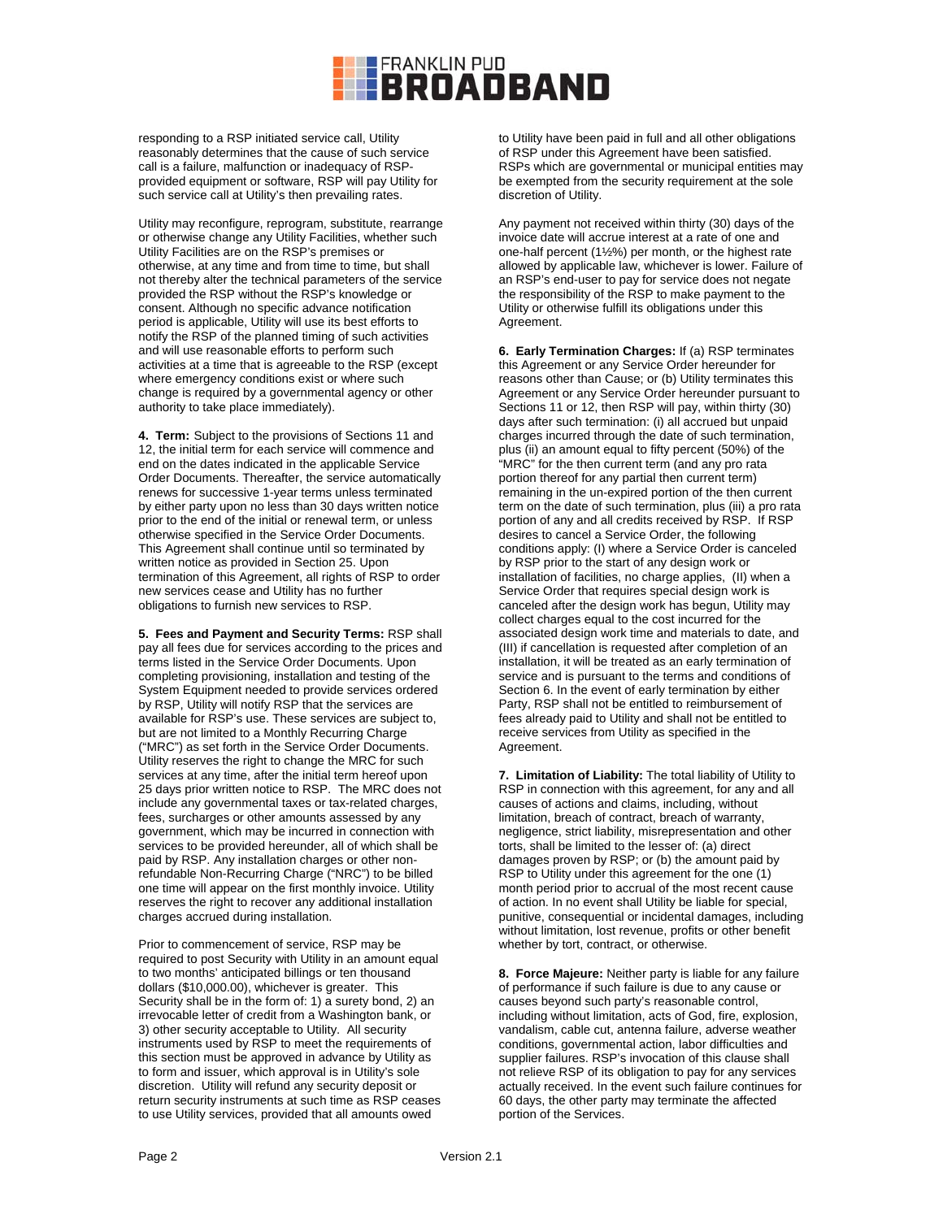

responding to a RSP initiated service call, Utility reasonably determines that the cause of such service call is a failure, malfunction or inadequacy of RSPprovided equipment or software, RSP will pay Utility for such service call at Utility's then prevailing rates.

Utility may reconfigure, reprogram, substitute, rearrange or otherwise change any Utility Facilities, whether such Utility Facilities are on the RSP's premises or otherwise, at any time and from time to time, but shall not thereby alter the technical parameters of the service provided the RSP without the RSP's knowledge or consent. Although no specific advance notification period is applicable, Utility will use its best efforts to notify the RSP of the planned timing of such activities and will use reasonable efforts to perform such activities at a time that is agreeable to the RSP (except where emergency conditions exist or where such change is required by a governmental agency or other authority to take place immediately).

**4. Term:** Subject to the provisions of Sections 11 and 12, the initial term for each service will commence and end on the dates indicated in the applicable Service Order Documents. Thereafter, the service automatically renews for successive 1-year terms unless terminated by either party upon no less than 30 days written notice prior to the end of the initial or renewal term, or unless otherwise specified in the Service Order Documents. This Agreement shall continue until so terminated by written notice as provided in Section 25. Upon termination of this Agreement, all rights of RSP to order new services cease and Utility has no further obligations to furnish new services to RSP.

**5. Fees and Payment and Security Terms:** RSP shall pay all fees due for services according to the prices and terms listed in the Service Order Documents. Upon completing provisioning, installation and testing of the System Equipment needed to provide services ordered by RSP, Utility will notify RSP that the services are available for RSP's use. These services are subject to, but are not limited to a Monthly Recurring Charge ("MRC") as set forth in the Service Order Documents. Utility reserves the right to change the MRC for such services at any time, after the initial term hereof upon 25 days prior written notice to RSP. The MRC does not include any governmental taxes or tax-related charges, fees, surcharges or other amounts assessed by any government, which may be incurred in connection with services to be provided hereunder, all of which shall be paid by RSP. Any installation charges or other nonrefundable Non-Recurring Charge ("NRC") to be billed one time will appear on the first monthly invoice. Utility reserves the right to recover any additional installation charges accrued during installation.

Prior to commencement of service, RSP may be required to post Security with Utility in an amount equal to two months' anticipated billings or ten thousand dollars (\$10,000.00), whichever is greater. This Security shall be in the form of: 1) a surety bond, 2) an irrevocable letter of credit from a Washington bank, or 3) other security acceptable to Utility. All security instruments used by RSP to meet the requirements of this section must be approved in advance by Utility as to form and issuer, which approval is in Utility's sole discretion. Utility will refund any security deposit or return security instruments at such time as RSP ceases to use Utility services, provided that all amounts owed

to Utility have been paid in full and all other obligations of RSP under this Agreement have been satisfied. RSPs which are governmental or municipal entities may be exempted from the security requirement at the sole discretion of Utility.

Any payment not received within thirty (30) days of the invoice date will accrue interest at a rate of one and one-half percent (1½%) per month, or the highest rate allowed by applicable law, whichever is lower. Failure of an RSP's end-user to pay for service does not negate the responsibility of the RSP to make payment to the Utility or otherwise fulfill its obligations under this Agreement.

**6. Early Termination Charges:** If (a) RSP terminates this Agreement or any Service Order hereunder for reasons other than Cause; or (b) Utility terminates this Agreement or any Service Order hereunder pursuant to Sections 11 or 12, then RSP will pay, within thirty (30) days after such termination: (i) all accrued but unpaid charges incurred through the date of such termination, plus (ii) an amount equal to fifty percent (50%) of the "MRC" for the then current term (and any pro rata portion thereof for any partial then current term) remaining in the un-expired portion of the then current term on the date of such termination, plus (iii) a pro rata portion of any and all credits received by RSP. If RSP desires to cancel a Service Order, the following conditions apply: (I) where a Service Order is canceled by RSP prior to the start of any design work or installation of facilities, no charge applies, (II) when a Service Order that requires special design work is canceled after the design work has begun, Utility may collect charges equal to the cost incurred for the associated design work time and materials to date, and (III) if cancellation is requested after completion of an installation, it will be treated as an early termination of service and is pursuant to the terms and conditions of Section 6. In the event of early termination by either Party, RSP shall not be entitled to reimbursement of fees already paid to Utility and shall not be entitled to receive services from Utility as specified in the Agreement.

**7. Limitation of Liability:** The total liability of Utility to RSP in connection with this agreement, for any and all causes of actions and claims, including, without limitation, breach of contract, breach of warranty, negligence, strict liability, misrepresentation and other torts, shall be limited to the lesser of: (a) direct damages proven by RSP; or (b) the amount paid by RSP to Utility under this agreement for the one (1) month period prior to accrual of the most recent cause of action. In no event shall Utility be liable for special, punitive, consequential or incidental damages, including without limitation, lost revenue, profits or other benefit whether by tort, contract, or otherwise.

**8. Force Majeure:** Neither party is liable for any failure of performance if such failure is due to any cause or causes beyond such party's reasonable control, including without limitation, acts of God, fire, explosion, vandalism, cable cut, antenna failure, adverse weather conditions, governmental action, labor difficulties and supplier failures. RSP's invocation of this clause shall not relieve RSP of its obligation to pay for any services actually received. In the event such failure continues for 60 days, the other party may terminate the affected portion of the Services.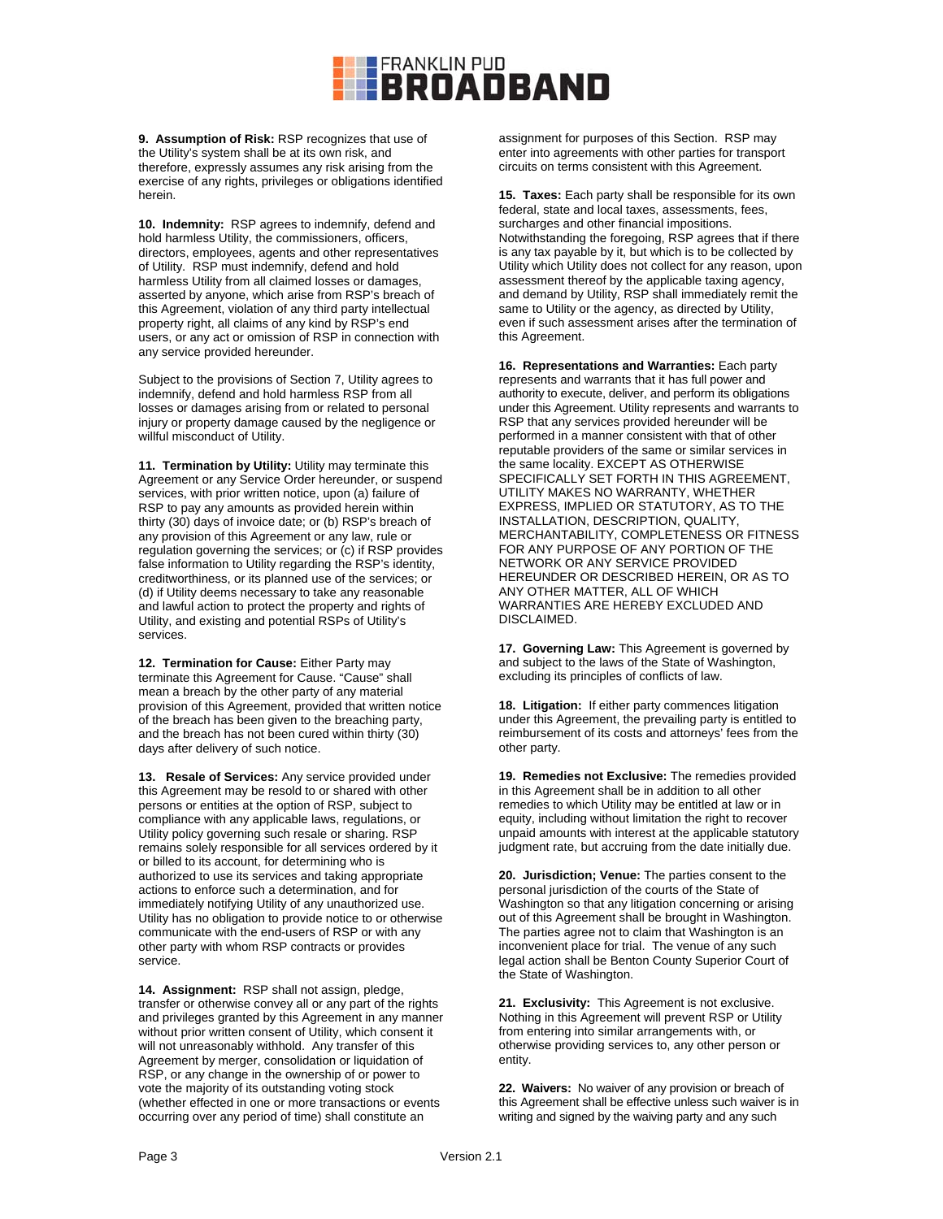

**9. Assumption of Risk:** RSP recognizes that use of the Utility's system shall be at its own risk, and therefore, expressly assumes any risk arising from the exercise of any rights, privileges or obligations identified herein.

**10. Indemnity:** RSP agrees to indemnify, defend and hold harmless Utility, the commissioners, officers, directors, employees, agents and other representatives of Utility. RSP must indemnify, defend and hold harmless Utility from all claimed losses or damages, asserted by anyone, which arise from RSP's breach of this Agreement, violation of any third party intellectual property right, all claims of any kind by RSP's end users, or any act or omission of RSP in connection with any service provided hereunder.

Subject to the provisions of Section 7, Utility agrees to indemnify, defend and hold harmless RSP from all losses or damages arising from or related to personal injury or property damage caused by the negligence or willful misconduct of Utility.

**11. Termination by Utility:** Utility may terminate this Agreement or any Service Order hereunder, or suspend services, with prior written notice, upon (a) failure of RSP to pay any amounts as provided herein within thirty (30) days of invoice date; or (b) RSP's breach of any provision of this Agreement or any law, rule or regulation governing the services; or (c) if RSP provides false information to Utility regarding the RSP's identity, creditworthiness, or its planned use of the services; or (d) if Utility deems necessary to take any reasonable and lawful action to protect the property and rights of Utility, and existing and potential RSPs of Utility's services.

**12. Termination for Cause:** Either Party may terminate this Agreement for Cause. "Cause" shall mean a breach by the other party of any material provision of this Agreement, provided that written notice of the breach has been given to the breaching party, and the breach has not been cured within thirty (30) days after delivery of such notice.

**13. Resale of Services:** Any service provided under this Agreement may be resold to or shared with other persons or entities at the option of RSP, subject to compliance with any applicable laws, regulations, or Utility policy governing such resale or sharing. RSP remains solely responsible for all services ordered by it or billed to its account, for determining who is authorized to use its services and taking appropriate actions to enforce such a determination, and for immediately notifying Utility of any unauthorized use. Utility has no obligation to provide notice to or otherwise communicate with the end-users of RSP or with any other party with whom RSP contracts or provides service.

**14. Assignment:** RSP shall not assign, pledge, transfer or otherwise convey all or any part of the rights and privileges granted by this Agreement in any manner without prior written consent of Utility, which consent it will not unreasonably withhold. Any transfer of this Agreement by merger, consolidation or liquidation of RSP, or any change in the ownership of or power to vote the majority of its outstanding voting stock (whether effected in one or more transactions or events occurring over any period of time) shall constitute an

assignment for purposes of this Section. RSP may enter into agreements with other parties for transport circuits on terms consistent with this Agreement.

**15. Taxes:** Each party shall be responsible for its own federal, state and local taxes, assessments, fees, surcharges and other financial impositions. Notwithstanding the foregoing, RSP agrees that if there is any tax payable by it, but which is to be collected by Utility which Utility does not collect for any reason, upon assessment thereof by the applicable taxing agency, and demand by Utility, RSP shall immediately remit the same to Utility or the agency, as directed by Utility, even if such assessment arises after the termination of this Agreement.

**16. Representations and Warranties:** Each party represents and warrants that it has full power and authority to execute, deliver, and perform its obligations under this Agreement. Utility represents and warrants to RSP that any services provided hereunder will be performed in a manner consistent with that of other reputable providers of the same or similar services in the same locality. EXCEPT AS OTHERWISE SPECIFICALLY SET FORTH IN THIS AGREEMENT, UTILITY MAKES NO WARRANTY, WHETHER EXPRESS, IMPLIED OR STATUTORY, AS TO THE INSTALLATION, DESCRIPTION, QUALITY, MERCHANTABILITY, COMPLETENESS OR FITNESS FOR ANY PURPOSE OF ANY PORTION OF THE NETWORK OR ANY SERVICE PROVIDED HEREUNDER OR DESCRIBED HEREIN, OR AS TO ANY OTHER MATTER, ALL OF WHICH WARRANTIES ARE HEREBY EXCLUDED AND DISCLAIMED.

**17. Governing Law:** This Agreement is governed by and subject to the laws of the State of Washington, excluding its principles of conflicts of law.

**18. Litigation:** If either party commences litigation under this Agreement, the prevailing party is entitled to reimbursement of its costs and attorneys' fees from the other party.

**19. Remedies not Exclusive:** The remedies provided in this Agreement shall be in addition to all other remedies to which Utility may be entitled at law or in equity, including without limitation the right to recover unpaid amounts with interest at the applicable statutory judgment rate, but accruing from the date initially due.

**20. Jurisdiction; Venue:** The parties consent to the personal jurisdiction of the courts of the State of Washington so that any litigation concerning or arising out of this Agreement shall be brought in Washington. The parties agree not to claim that Washington is an inconvenient place for trial. The venue of any such legal action shall be Benton County Superior Court of the State of Washington.

**21. Exclusivity:** This Agreement is not exclusive. Nothing in this Agreement will prevent RSP or Utility from entering into similar arrangements with, or otherwise providing services to, any other person or entity.

**22. Waivers:** No waiver of any provision or breach of this Agreement shall be effective unless such waiver is in writing and signed by the waiving party and any such